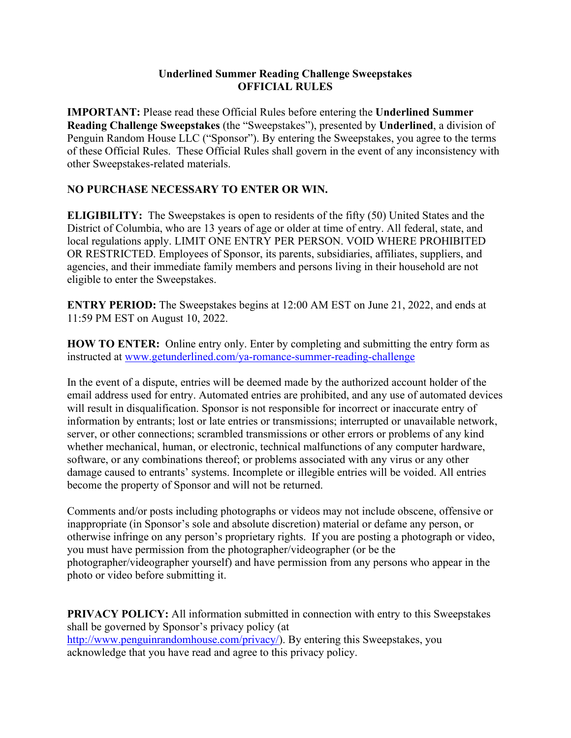## **Underlined Summer Reading Challenge Sweepstakes OFFICIAL RULES**

**IMPORTANT:** Please read these Official Rules before entering the **Underlined Summer Reading Challenge Sweepstakes** (the "Sweepstakes"), presented by **Underlined**, a division of Penguin Random House LLC ("Sponsor"). By entering the Sweepstakes, you agree to the terms of these Official Rules. These Official Rules shall govern in the event of any inconsistency with other Sweepstakes-related materials.

## **NO PURCHASE NECESSARY TO ENTER OR WIN.**

**ELIGIBILITY:** The Sweepstakes is open to residents of the fifty (50) United States and the District of Columbia, who are 13 years of age or older at time of entry. All federal, state, and local regulations apply. LIMIT ONE ENTRY PER PERSON. VOID WHERE PROHIBITED OR RESTRICTED. Employees of Sponsor, its parents, subsidiaries, affiliates, suppliers, and agencies, and their immediate family members and persons living in their household are not eligible to enter the Sweepstakes.

**ENTRY PERIOD:** The Sweepstakes begins at 12:00 AM EST on June 21, 2022, and ends at 11:59 PM EST on August 10, 2022.

**HOW TO ENTER:** Online entry only. Enter by completing and submitting the entry form as instructed at [www.getunderlined.com/ya-romance-summer-reading-challenge](http://www.getunderlined.com/ya-romance-summer-reading-challenge)

In the event of a dispute, entries will be deemed made by the authorized account holder of the email address used for entry. Automated entries are prohibited, and any use of automated devices will result in disqualification. Sponsor is not responsible for incorrect or inaccurate entry of information by entrants; lost or late entries or transmissions; interrupted or unavailable network, server, or other connections; scrambled transmissions or other errors or problems of any kind whether mechanical, human, or electronic, technical malfunctions of any computer hardware, software, or any combinations thereof; or problems associated with any virus or any other damage caused to entrants' systems. Incomplete or illegible entries will be voided. All entries become the property of Sponsor and will not be returned.

Comments and/or posts including photographs or videos may not include obscene, offensive or inappropriate (in Sponsor's sole and absolute discretion) material or defame any person, or otherwise infringe on any person's proprietary rights. If you are posting a photograph or video, you must have permission from the photographer/videographer (or be the photographer/videographer yourself) and have permission from any persons who appear in the photo or video before submitting it.

**PRIVACY POLICY:** All information submitted in connection with entry to this Sweepstakes shall be governed by Sponsor's privacy policy (at [http://www.penguinrandomhouse.com/privacy/\)](http://www.penguinrandomhouse.com/privacy/). By entering this Sweepstakes, you acknowledge that you have read and agree to this privacy policy.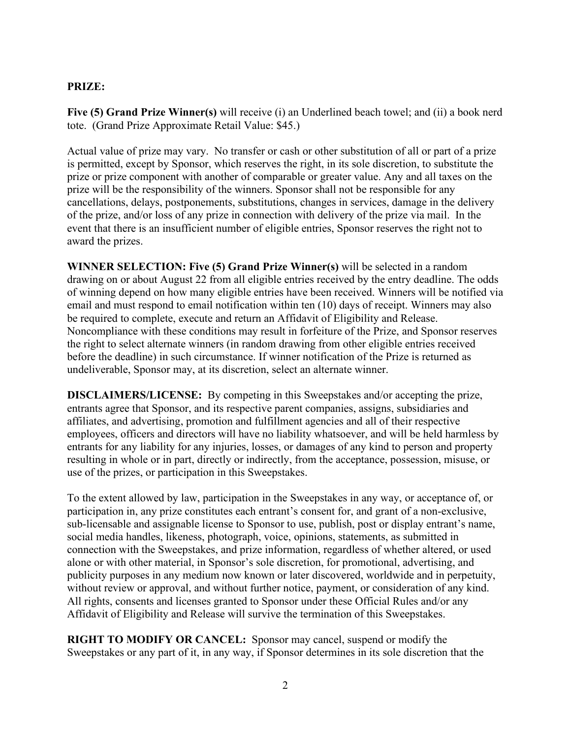## **PRIZE:**

**Five (5) Grand Prize Winner(s)** will receive (i) an Underlined beach towel; and (ii) a book nerd tote. (Grand Prize Approximate Retail Value: \$45.)

Actual value of prize may vary. No transfer or cash or other substitution of all or part of a prize is permitted, except by Sponsor, which reserves the right, in its sole discretion, to substitute the prize or prize component with another of comparable or greater value. Any and all taxes on the prize will be the responsibility of the winners. Sponsor shall not be responsible for any cancellations, delays, postponements, substitutions, changes in services, damage in the delivery of the prize, and/or loss of any prize in connection with delivery of the prize via mail. In the event that there is an insufficient number of eligible entries, Sponsor reserves the right not to award the prizes.

**WINNER SELECTION: Five (5) Grand Prize Winner(s)** will be selected in a random drawing on or about August 22 from all eligible entries received by the entry deadline. The odds of winning depend on how many eligible entries have been received. Winners will be notified via email and must respond to email notification within ten (10) days of receipt. Winners may also be required to complete, execute and return an Affidavit of Eligibility and Release. Noncompliance with these conditions may result in forfeiture of the Prize, and Sponsor reserves the right to select alternate winners (in random drawing from other eligible entries received before the deadline) in such circumstance. If winner notification of the Prize is returned as undeliverable, Sponsor may, at its discretion, select an alternate winner.

**DISCLAIMERS/LICENSE:** By competing in this Sweepstakes and/or accepting the prize, entrants agree that Sponsor, and its respective parent companies, assigns, subsidiaries and affiliates, and advertising, promotion and fulfillment agencies and all of their respective employees, officers and directors will have no liability whatsoever, and will be held harmless by entrants for any liability for any injuries, losses, or damages of any kind to person and property resulting in whole or in part, directly or indirectly, from the acceptance, possession, misuse, or use of the prizes, or participation in this Sweepstakes.

To the extent allowed by law, participation in the Sweepstakes in any way, or acceptance of, or participation in, any prize constitutes each entrant's consent for, and grant of a non-exclusive, sub-licensable and assignable license to Sponsor to use, publish, post or display entrant's name, social media handles, likeness, photograph, voice, opinions, statements, as submitted in connection with the Sweepstakes, and prize information, regardless of whether altered, or used alone or with other material, in Sponsor's sole discretion, for promotional, advertising, and publicity purposes in any medium now known or later discovered, worldwide and in perpetuity, without review or approval, and without further notice, payment, or consideration of any kind. All rights, consents and licenses granted to Sponsor under these Official Rules and/or any Affidavit of Eligibility and Release will survive the termination of this Sweepstakes.

**RIGHT TO MODIFY OR CANCEL:** Sponsor may cancel, suspend or modify the Sweepstakes or any part of it, in any way, if Sponsor determines in its sole discretion that the